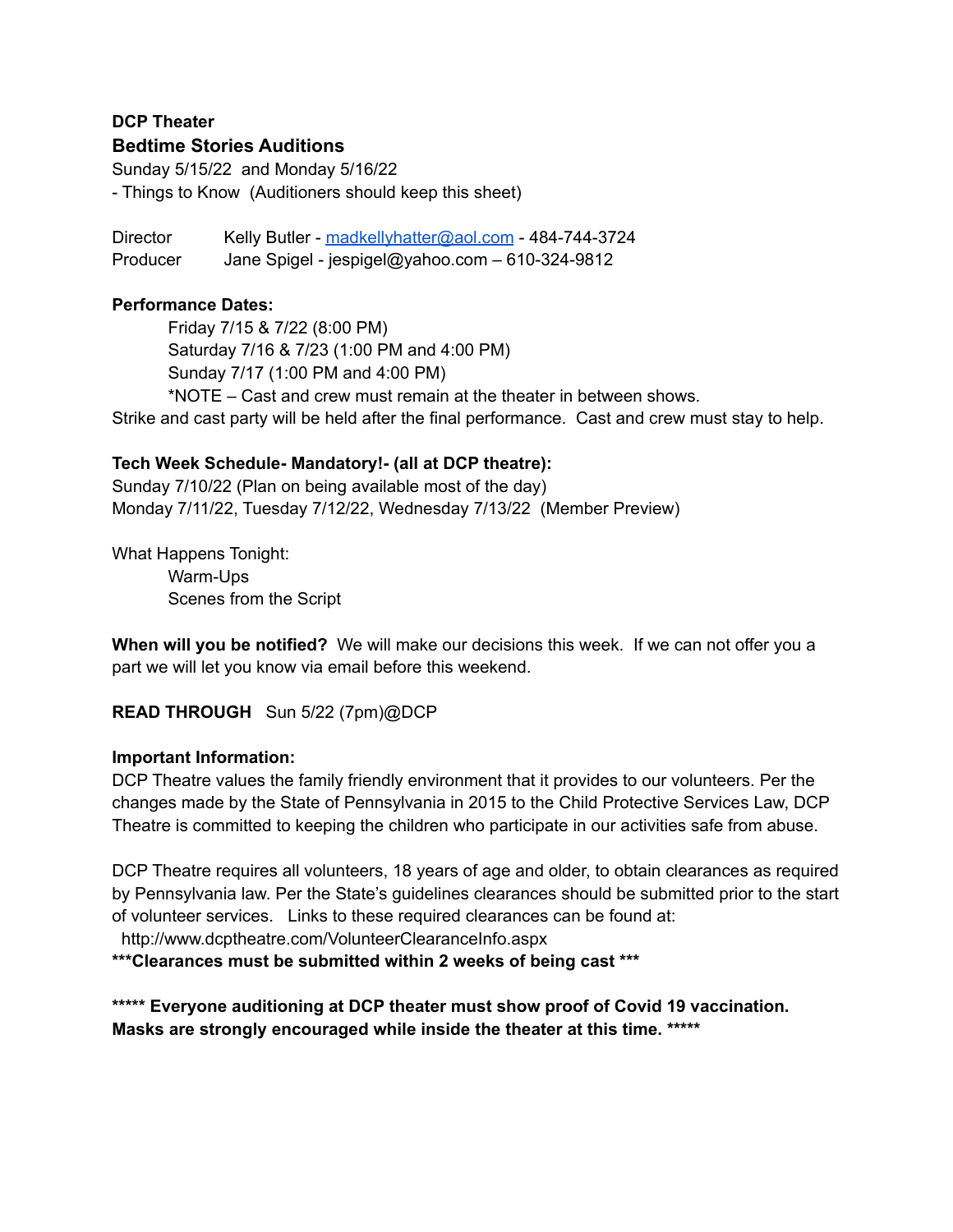## **DCP Theater Bedtime Stories Auditions**

Sunday 5/15/22 and Monday 5/16/22 - Things to Know (Auditioners should keep this sheet)

Director Kelly Butler - [madkellyhatter@aol.com](mailto:madkellyhatter@aol.com) - 484-744-3724 Producer Jane Spigel - jespigel@yahoo.com – 610-324-9812

### **Performance Dates:**

Friday 7/15 & 7/22 (8:00 PM) Saturday 7/16 & 7/23 (1:00 PM and 4:00 PM) Sunday 7/17 (1:00 PM and 4:00 PM) \*NOTE – Cast and crew must remain at the theater in between shows.

Strike and cast party will be held after the final performance. Cast and crew must stay to help.

#### **Tech Week Schedule- Mandatory!- (all at DCP theatre):**

Sunday 7/10/22 (Plan on being available most of the day) Monday 7/11/22, Tuesday 7/12/22, Wednesday 7/13/22 (Member Preview)

What Happens Tonight: Warm-Ups Scenes from the Script

**When will you be notified?** We will make our decisions this week. If we can not offer you a part we will let you know via email before this weekend.

# **READ THROUGH** Sun 5/22 (7pm)@DCP

#### **Important Information:**

DCP Theatre values the family friendly environment that it provides to our volunteers. Per the changes made by the State of Pennsylvania in 2015 to the Child Protective Services Law, DCP Theatre is committed to keeping the children who participate in our activities safe from abuse.

DCP Theatre requires all volunteers, 18 years of age and older, to obtain clearances as required by Pennsylvania law. Per the State's guidelines clearances should be submitted prior to the start of volunteer services. Links to these required clearances can be found at:

http://www.dcptheatre.com/VolunteerClearanceInfo.aspx

**\*\*\*Clearances must be submitted within 2 weeks of being cast \*\*\***

**\*\*\*\*\* Everyone auditioning at DCP theater must show proof of Covid 19 vaccination. Masks are strongly encouraged while inside the theater at this time. \*\*\*\*\***